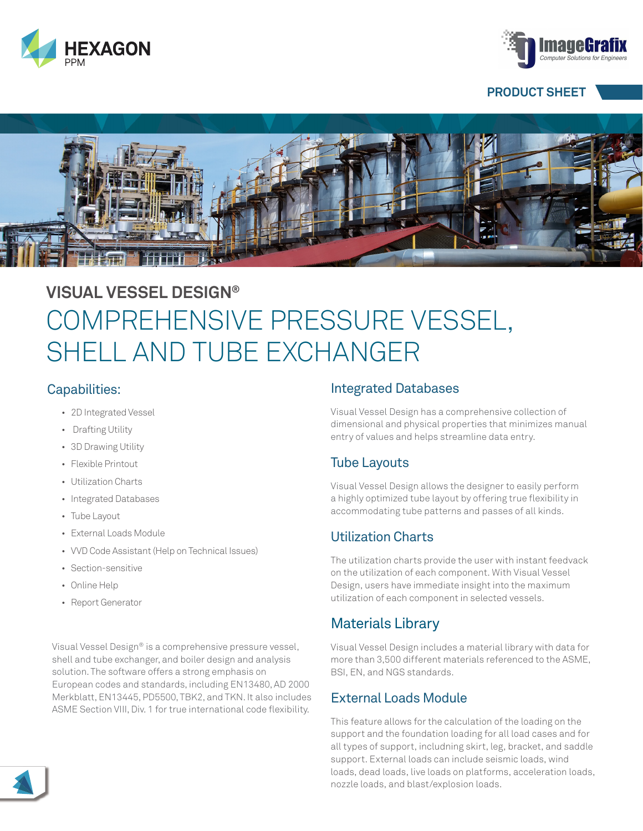



#### **PRODUCT SHEET**



# **VISUAL VESSEL DESIGN®** COMPREHENSIVE PRESSURE VESSEL, SHELL AND TUBE EXCHANGER

#### Capabilities:

- 2D Integrated Vessel
- Drafting Utility
- 3D Drawing Utility
- Flexible Printout
- Utilization Charts
- Integrated Databases
- Tube Layout
- External Loads Module
- VVD Code Assistant (Help on Technical Issues)
- Section-sensitive
- Online Help
- Report Generator

Visual Vessel Design® is a comprehensive pressure vessel, shell and tube exchanger, and boiler design and analysis solution. The software offers a strong emphasis on European codes and standards, including EN13480, AD 2000 Merkblatt, EN13445, PD5500, TBK2, and TKN. It also includes ASME Section VIII, Div. 1 for true international code flexibility.

#### Integrated Databases

Visual Vessel Design has a comprehensive collection of dimensional and physical properties that minimizes manual entry of values and helps streamline data entry.

### Tube Layouts

Visual Vessel Design allows the designer to easily perform a highly optimized tube layout by offering true flexibility in accommodating tube patterns and passes of all kinds.

## Utilization Charts

The utilization charts provide the user with instant feedvack on the utilization of each component. With Visual Vessel Design, users have immediate insight into the maximum utilization of each component in selected vessels.

## Materials Library

Visual Vessel Design includes a material library with data for more than 3,500 different materials referenced to the ASME, BSI, EN, and NGS standards.

## External Loads Module

This feature allows for the calculation of the loading on the support and the foundation loading for all load cases and for all types of support, includning skirt, leg, bracket, and saddle support. External loads can include seismic loads, wind loads, dead loads, live loads on platforms, acceleration loads, nozzle loads, and blast/explosion loads.